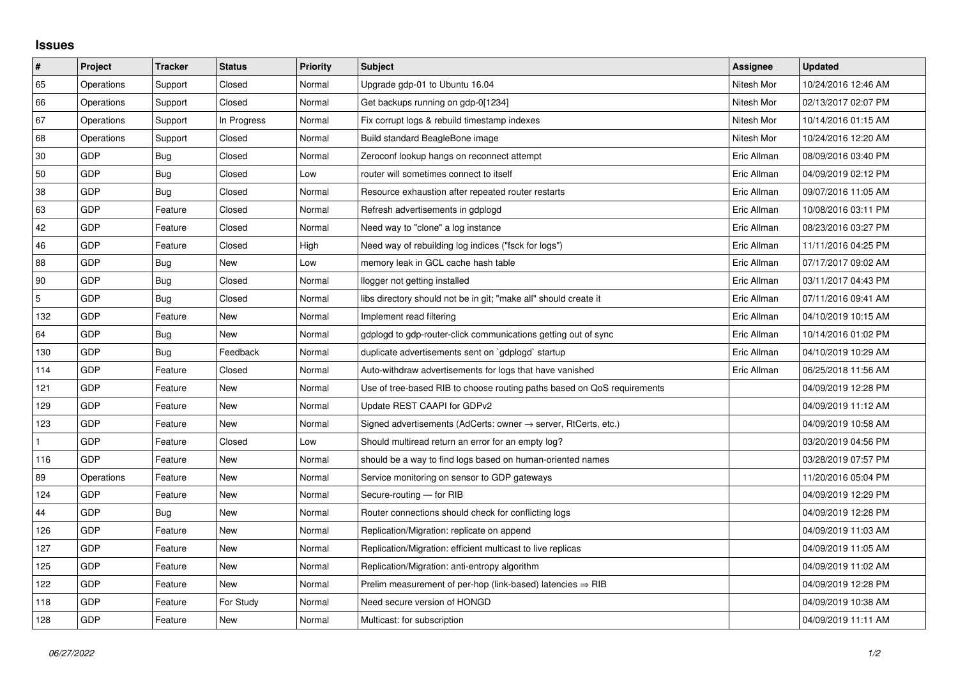## **Issues**

| $\pmb{\sharp}$ | Project    | <b>Tracker</b> | <b>Status</b> | <b>Priority</b> | <b>Subject</b>                                                             | Assignee    | <b>Updated</b>      |
|----------------|------------|----------------|---------------|-----------------|----------------------------------------------------------------------------|-------------|---------------------|
| 65             | Operations | Support        | Closed        | Normal          | Upgrade gdp-01 to Ubuntu 16.04                                             | Nitesh Mor  | 10/24/2016 12:46 AM |
| 66             | Operations | Support        | Closed        | Normal          | Get backups running on gdp-0[1234]                                         | Nitesh Mor  | 02/13/2017 02:07 PM |
| 67             | Operations | Support        | In Progress   | Normal          | Fix corrupt logs & rebuild timestamp indexes                               | Nitesh Mor  | 10/14/2016 01:15 AM |
| 68             | Operations | Support        | Closed        | Normal          | Build standard BeagleBone image                                            | Nitesh Mor  | 10/24/2016 12:20 AM |
| 30             | <b>GDP</b> | Bug            | Closed        | Normal          | Zeroconf lookup hangs on reconnect attempt                                 | Eric Allman | 08/09/2016 03:40 PM |
| 50             | <b>GDP</b> | Bug            | Closed        | Low             | router will sometimes connect to itself                                    | Eric Allman | 04/09/2019 02:12 PM |
| 38             | <b>GDP</b> | Bug            | Closed        | Normal          | Resource exhaustion after repeated router restarts                         | Eric Allman | 09/07/2016 11:05 AM |
| 63             | GDP        | Feature        | Closed        | Normal          | Refresh advertisements in gdplogd                                          | Eric Allman | 10/08/2016 03:11 PM |
| 42             | <b>GDP</b> | Feature        | Closed        | Normal          | Need way to "clone" a log instance                                         | Eric Allman | 08/23/2016 03:27 PM |
| 46             | <b>GDP</b> | Feature        | Closed        | High            | Need way of rebuilding log indices ("fsck for logs")                       | Eric Allman | 11/11/2016 04:25 PM |
| 88             | <b>GDP</b> | Bug            | New           | Low             | memory leak in GCL cache hash table                                        | Eric Allman | 07/17/2017 09:02 AM |
| 90             | GDP        | Bug            | Closed        | Normal          | llogger not getting installed                                              | Eric Allman | 03/11/2017 04:43 PM |
| 5              | <b>GDP</b> | Bug            | Closed        | Normal          | libs directory should not be in git; "make all" should create it           | Eric Allman | 07/11/2016 09:41 AM |
| 132            | GDP        | Feature        | New           | Normal          | Implement read filtering                                                   | Eric Allman | 04/10/2019 10:15 AM |
| 64             | <b>GDP</b> | Bug            | <b>New</b>    | Normal          | gdplogd to gdp-router-click communications getting out of sync             | Eric Allman | 10/14/2016 01:02 PM |
| 130            | <b>GDP</b> | Bug            | Feedback      | Normal          | duplicate advertisements sent on `gdplogd` startup                         | Eric Allman | 04/10/2019 10:29 AM |
| 114            | GDP        | Feature        | Closed        | Normal          | Auto-withdraw advertisements for logs that have vanished                   | Eric Allman | 06/25/2018 11:56 AM |
| 121            | <b>GDP</b> | Feature        | <b>New</b>    | Normal          | Use of tree-based RIB to choose routing paths based on QoS requirements    |             | 04/09/2019 12:28 PM |
| 129            | <b>GDP</b> | Feature        | <b>New</b>    | Normal          | Update REST CAAPI for GDPv2                                                |             | 04/09/2019 11:12 AM |
| 123            | GDP        | Feature        | <b>New</b>    | Normal          | Signed advertisements (AdCerts: owner $\rightarrow$ server, RtCerts, etc.) |             | 04/09/2019 10:58 AM |
|                | GDP        | Feature        | Closed        | Low             | Should multiread return an error for an empty log?                         |             | 03/20/2019 04:56 PM |
| 116            | <b>GDP</b> | Feature        | <b>New</b>    | Normal          | should be a way to find logs based on human-oriented names                 |             | 03/28/2019 07:57 PM |
| 89             | Operations | Feature        | New           | Normal          | Service monitoring on sensor to GDP gateways                               |             | 11/20/2016 05:04 PM |
| 124            | <b>GDP</b> | Feature        | New           | Normal          | Secure-routing - for RIB                                                   |             | 04/09/2019 12:29 PM |
| 44             | GDP        | Bug            | New           | Normal          | Router connections should check for conflicting logs                       |             | 04/09/2019 12:28 PM |
| 126            | GDP        | Feature        | New           | Normal          | Replication/Migration: replicate on append                                 |             | 04/09/2019 11:03 AM |
| 127            | <b>GDP</b> | Feature        | <b>New</b>    | Normal          | Replication/Migration: efficient multicast to live replicas                |             | 04/09/2019 11:05 AM |
| 125            | <b>GDP</b> | Feature        | <b>New</b>    | Normal          | Replication/Migration: anti-entropy algorithm                              |             | 04/09/2019 11:02 AM |
| 122            | <b>GDP</b> | Feature        | <b>New</b>    | Normal          | Prelim measurement of per-hop (link-based) latencies $\Rightarrow$ RIB     |             | 04/09/2019 12:28 PM |
| 118            | GDP        | Feature        | For Study     | Normal          | Need secure version of HONGD                                               |             | 04/09/2019 10:38 AM |
| 128            | GDP        | Feature        | <b>New</b>    | Normal          | Multicast: for subscription                                                |             | 04/09/2019 11:11 AM |